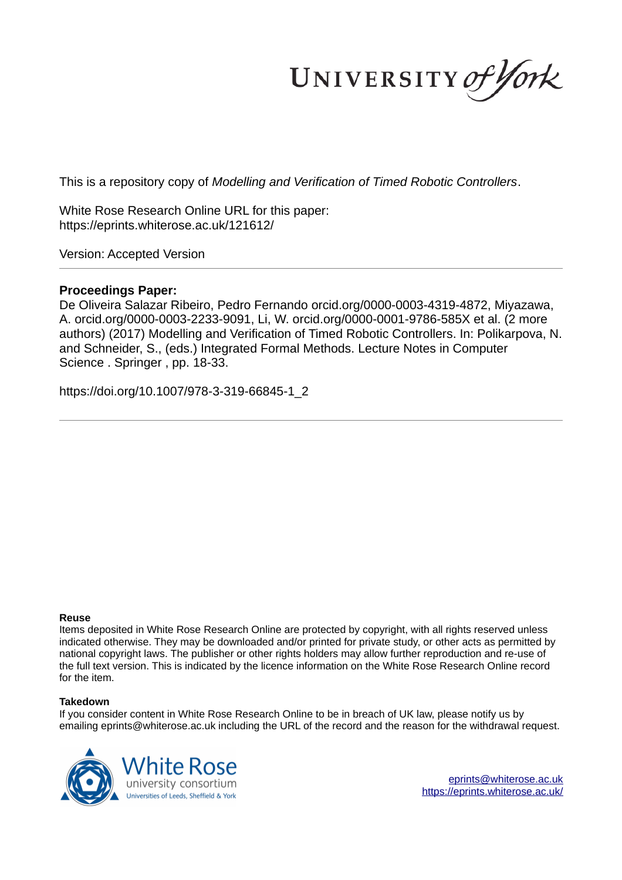UNIVERSITY of York

This is a repository copy of *Modelling and Verification of Timed Robotic Controllers*.

White Rose Research Online URL for this paper: https://eprints.whiterose.ac.uk/121612/

Version: Accepted Version

## **Proceedings Paper:**

De Oliveira Salazar Ribeiro, Pedro Fernando orcid.org/0000-0003-4319-4872, Miyazawa, A. orcid.org/0000-0003-2233-9091, Li, W. orcid.org/0000-0001-9786-585X et al. (2 more authors) (2017) Modelling and Verification of Timed Robotic Controllers. In: Polikarpova, N. and Schneider, S., (eds.) Integrated Formal Methods. Lecture Notes in Computer Science, Springer, pp. 18-33.

https://doi.org/10.1007/978-3-319-66845-1\_2

## **Reuse**

Items deposited in White Rose Research Online are protected by copyright, with all rights reserved unless indicated otherwise. They may be downloaded and/or printed for private study, or other acts as permitted by national copyright laws. The publisher or other rights holders may allow further reproduction and re-use of the full text version. This is indicated by the licence information on the White Rose Research Online record for the item.

## **Takedown**

If you consider content in White Rose Research Online to be in breach of UK law, please notify us by emailing eprints@whiterose.ac.uk including the URL of the record and the reason for the withdrawal request.



eprints@whiterose.ac.uk https://eprints.whiterose.ac.uk/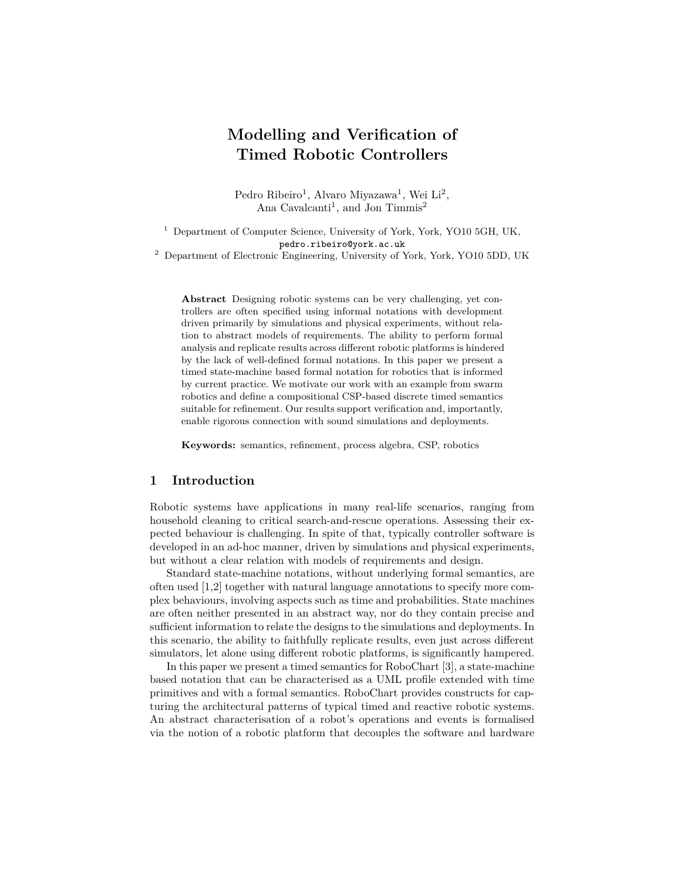# **Modelling and Verification of Timed Robotic Controllers**

Pedro Ribeiro<sup>1</sup>, Alvaro Miyazawa<sup>1</sup>, Wei Li<sup>2</sup>, Ana Cavalcanti<sup>1</sup>, and Jon Timmis<sup>2</sup>

<sup>1</sup> Department of Computer Science, University of York, York, YO10 5GH, UK, pedro.ribeiro@york.ac.uk

<sup>2</sup> Department of Electronic Engineering, University of York, York, YO10 5DD, UK

**Abstract** Designing robotic systems can be very challenging, yet controllers are often specified using informal notations with development driven primarily by simulations and physical experiments, without relation to abstract models of requirements. The ability to perform formal analysis and replicate results across different robotic platforms is hindered by the lack of well-defined formal notations. In this paper we present a timed state-machine based formal notation for robotics that is informed by current practice. We motivate our work with an example from swarm robotics and define a compositional CSP-based discrete timed semantics suitable for refinement. Our results support verification and, importantly, enable rigorous connection with sound simulations and deployments.

**Keywords:** semantics, refinement, process algebra, CSP, robotics

#### **1 Introduction**

Robotic systems have applications in many real-life scenarios, ranging from household cleaning to critical search-and-rescue operations. Assessing their expected behaviour is challenging. In spite of that, typically controller software is developed in an ad-hoc manner, driven by simulations and physical experiments, but without a clear relation with models of requirements and design.

Standard state-machine notations, without underlying formal semantics, are often used [1,2] together with natural language annotations to specify more complex behaviours, involving aspects such as time and probabilities. State machines are often neither presented in an abstract way, nor do they contain precise and sufficient information to relate the designs to the simulations and deployments. In this scenario, the ability to faithfully replicate results, even just across different simulators, let alone using different robotic platforms, is significantly hampered.

In this paper we present a timed semantics for RoboChart [3], a state-machine based notation that can be characterised as a UML profile extended with time primitives and with a formal semantics. RoboChart provides constructs for capturing the architectural patterns of typical timed and reactive robotic systems. An abstract characterisation of a robot's operations and events is formalised via the notion of a robotic platform that decouples the software and hardware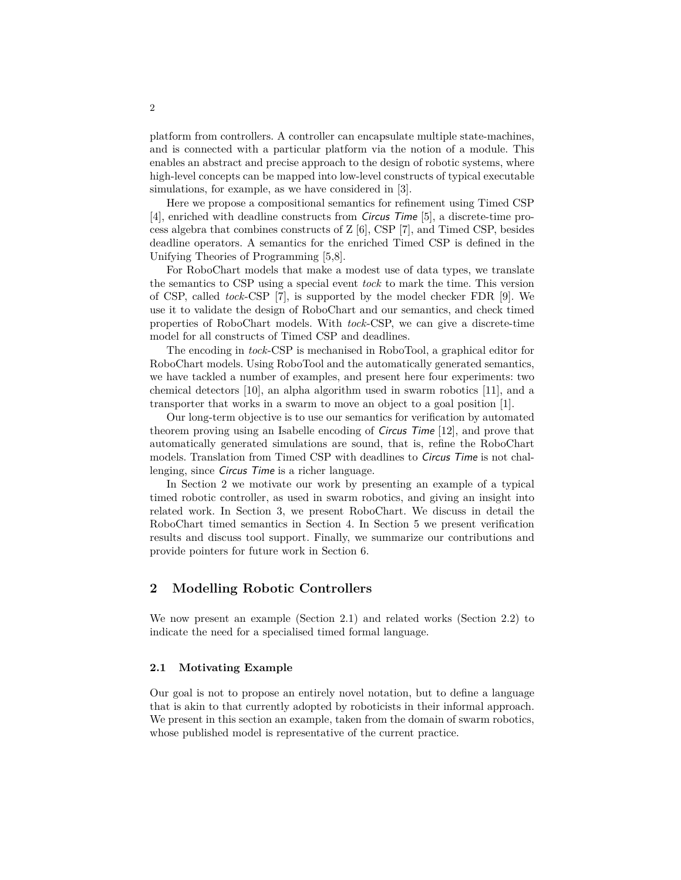platform from controllers. A controller can encapsulate multiple state-machines, and is connected with a particular platform via the notion of a module. This enables an abstract and precise approach to the design of robotic systems, where high-level concepts can be mapped into low-level constructs of typical executable simulations, for example, as we have considered in [3].

Here we propose a compositional semantics for refinement using Timed CSP [4], enriched with deadline constructs from Circus Time [5], a discrete-time process algebra that combines constructs of Z [6], CSP [7], and Timed CSP, besides deadline operators. A semantics for the enriched Timed CSP is defined in the Unifying Theories of Programming [5,8].

For RoboChart models that make a modest use of data types, we translate the semantics to CSP using a special event *tock* to mark the time. This version of CSP, called *tock*-CSP [7], is supported by the model checker FDR [9]. We use it to validate the design of RoboChart and our semantics, and check timed properties of RoboChart models. With *tock*-CSP, we can give a discrete-time model for all constructs of Timed CSP and deadlines.

The encoding in *tock*-CSP is mechanised in RoboTool, a graphical editor for RoboChart models. Using RoboTool and the automatically generated semantics, we have tackled a number of examples, and present here four experiments: two chemical detectors [10], an alpha algorithm used in swarm robotics [11], and a transporter that works in a swarm to move an object to a goal position [1].

Our long-term objective is to use our semantics for verification by automated theorem proving using an Isabelle encoding of Circus Time [12], and prove that automatically generated simulations are sound, that is, refine the RoboChart models. Translation from Timed CSP with deadlines to Circus Time is not challenging, since Circus Time is a richer language.

In Section 2 we motivate our work by presenting an example of a typical timed robotic controller, as used in swarm robotics, and giving an insight into related work. In Section 3, we present RoboChart. We discuss in detail the RoboChart timed semantics in Section 4. In Section 5 we present verification results and discuss tool support. Finally, we summarize our contributions and provide pointers for future work in Section 6.

## **2 Modelling Robotic Controllers**

We now present an example (Section 2.1) and related works (Section 2.2) to indicate the need for a specialised timed formal language.

#### **2.1 Motivating Example**

Our goal is not to propose an entirely novel notation, but to define a language that is akin to that currently adopted by roboticists in their informal approach. We present in this section an example, taken from the domain of swarm robotics, whose published model is representative of the current practice.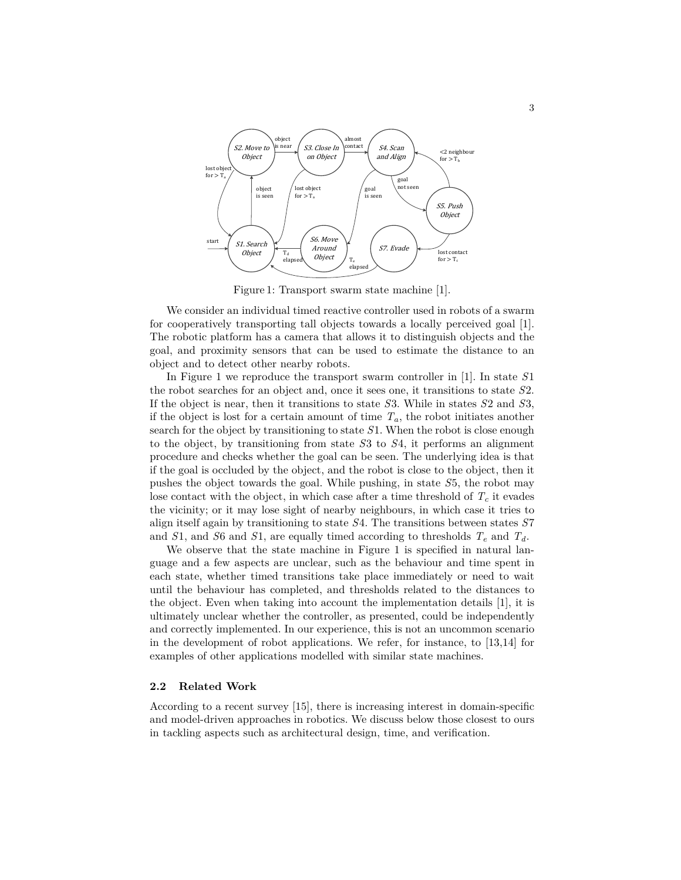

Figure 1: Transport swarm state machine [1].

We consider an individual timed reactive controller used in robots of a swarm for cooperatively transporting tall objects towards a locally perceived goal [1]. The robotic platform has a camera that allows it to distinguish objects and the goal, and proximity sensors that can be used to estimate the distance to an object and to detect other nearby robots.

In Figure 1 we reproduce the transport swarm controller in [1]. In state *S*1 the robot searches for an object and, once it sees one, it transitions to state *S*2. If the object is near, then it transitions to state *S*3. While in states *S*2 and *S*3, if the object is lost for a certain amount of time  $T_a$ , the robot initiates another search for the object by transitioning to state *S*1. When the robot is close enough to the object, by transitioning from state *S*3 to *S*4, it performs an alignment procedure and checks whether the goal can be seen. The underlying idea is that if the goal is occluded by the object, and the robot is close to the object, then it pushes the object towards the goal. While pushing, in state *S*5, the robot may lose contact with the object, in which case after a time threshold of  $T_c$  it evades the vicinity; or it may lose sight of nearby neighbours, in which case it tries to align itself again by transitioning to state *S*4. The transitions between states *S*7 and *S*1, and *S*6 and *S*1, are equally timed according to thresholds  $T_e$  and  $T_d$ .

We observe that the state machine in Figure 1 is specified in natural language and a few aspects are unclear, such as the behaviour and time spent in each state, whether timed transitions take place immediately or need to wait until the behaviour has completed, and thresholds related to the distances to the object. Even when taking into account the implementation details [1], it is ultimately unclear whether the controller, as presented, could be independently and correctly implemented. In our experience, this is not an uncommon scenario in the development of robot applications. We refer, for instance, to [13,14] for examples of other applications modelled with similar state machines.

#### **2.2 Related Work**

According to a recent survey [15], there is increasing interest in domain-specific and model-driven approaches in robotics. We discuss below those closest to ours in tackling aspects such as architectural design, time, and verification.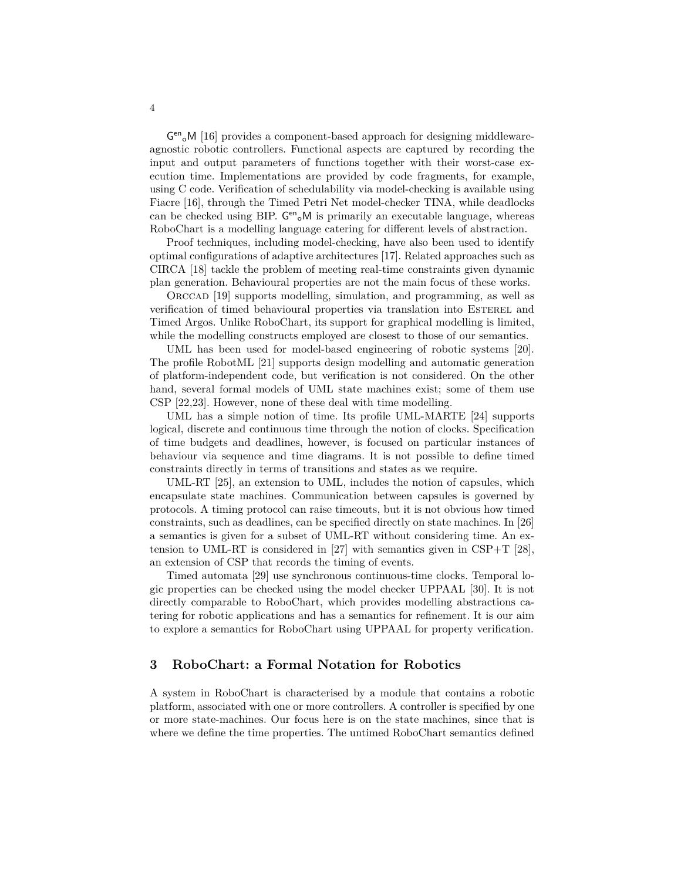Gen<sub>o</sub>M [16] provides a component-based approach for designing middlewareagnostic robotic controllers. Functional aspects are captured by recording the input and output parameters of functions together with their worst-case execution time. Implementations are provided by code fragments, for example, using C code. Verification of schedulability via model-checking is available using Fiacre [16], through the Timed Petri Net model-checker TINA, while deadlocks can be checked using BIP.  $G^{\text{en}}$ <sub>o</sub>M is primarily an executable language, whereas RoboChart is a modelling language catering for different levels of abstraction.

Proof techniques, including model-checking, have also been used to identify optimal configurations of adaptive architectures [17]. Related approaches such as CIRCA [18] tackle the problem of meeting real-time constraints given dynamic plan generation. Behavioural properties are not the main focus of these works.

Orccad [19] supports modelling, simulation, and programming, as well as verification of timed behavioural properties via translation into ESTEREL and Timed Argos. Unlike RoboChart, its support for graphical modelling is limited, while the modelling constructs employed are closest to those of our semantics.

UML has been used for model-based engineering of robotic systems [20]. The profile RobotML [21] supports design modelling and automatic generation of platform-independent code, but verification is not considered. On the other hand, several formal models of UML state machines exist; some of them use CSP [22,23]. However, none of these deal with time modelling.

UML has a simple notion of time. Its profile UML-MARTE [24] supports logical, discrete and continuous time through the notion of clocks. Specification of time budgets and deadlines, however, is focused on particular instances of behaviour via sequence and time diagrams. It is not possible to define timed constraints directly in terms of transitions and states as we require.

UML-RT [25], an extension to UML, includes the notion of capsules, which encapsulate state machines. Communication between capsules is governed by protocols. A timing protocol can raise timeouts, but it is not obvious how timed constraints, such as deadlines, can be specified directly on state machines. In [26] a semantics is given for a subset of UML-RT without considering time. An extension to UML-RT is considered in [27] with semantics given in CSP+T [28], an extension of CSP that records the timing of events.

Timed automata [29] use synchronous continuous-time clocks. Temporal logic properties can be checked using the model checker UPPAAL [30]. It is not directly comparable to RoboChart, which provides modelling abstractions catering for robotic applications and has a semantics for refinement. It is our aim to explore a semantics for RoboChart using UPPAAL for property verification.

## **3 RoboChart: a Formal Notation for Robotics**

A system in RoboChart is characterised by a module that contains a robotic platform, associated with one or more controllers. A controller is specified by one or more state-machines. Our focus here is on the state machines, since that is where we define the time properties. The untimed RoboChart semantics defined

4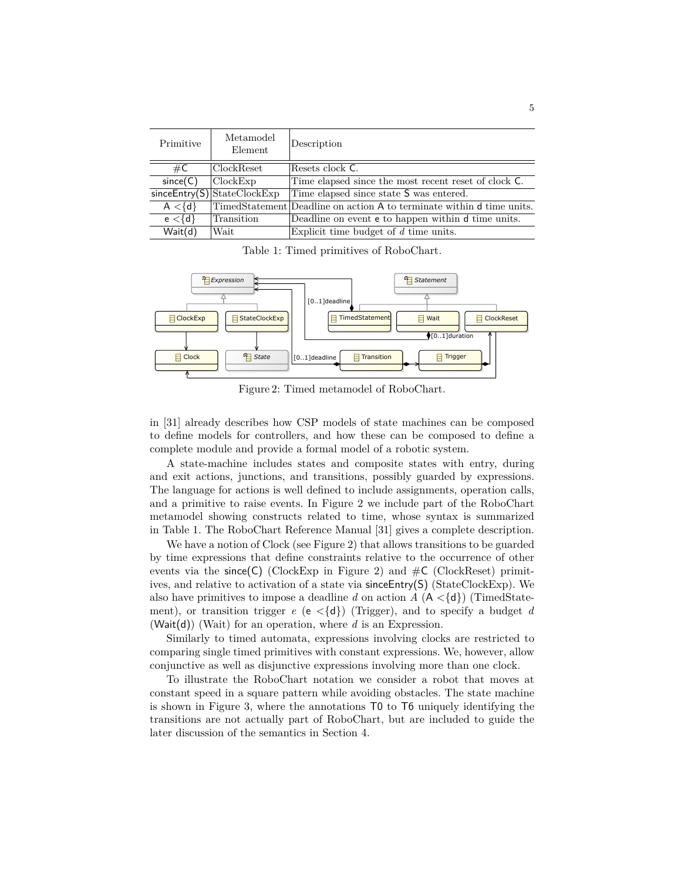| Primitive      | Metamodel<br>Element        | Description                                                           |
|----------------|-----------------------------|-----------------------------------------------------------------------|
| $\#C$          | ClockReset                  | Resets clock C.                                                       |
| since(C)       | ClockExp                    | Time elapsed since the most recent reset of clock C.                  |
|                | sinceEntry(S) StateClockExp | Time elapsed since state S was entered.                               |
| $A \leq \{d\}$ |                             | TimedStatement Deadline on action A to terminate within d time units. |
| $e < \{d\}$    | Transition                  | Deadline on event <b>e</b> to happen within <b>d</b> time units.      |
| Wait(d)        | Wait                        | Explicit time budget of $d$ time units.                               |

Table 1: Timed primitives of RoboChart.



Figure 2: Timed metamodel of RoboChart.

in [31] already describes how CSP models of state machines can be composed to define models for controllers, and how these can be composed to define a complete module and provide a formal model of a robotic system.

A state-machine includes states and composite states with entry, during and exit actions, junctions, and transitions, possibly guarded by expressions. The language for actions is well defined to include assignments, operation calls, and a primitive to raise events. In Figure 2 we include part of the RoboChart metamodel showing constructs related to time, whose syntax is summarized in Table 1. The RoboChart Reference Manual [31] gives a complete description.

We have a notion of Clock (see Figure 2) that allows transitions to be guarded by time expressions that define constraints relative to the occurrence of other events via the since(C) (ClockExp in Figure 2) and  $\#C$  (ClockReset) primitives, and relative to activation of a state via sinceEntry(S) (StateClockExp). We also have primitives to impose a deadline *d* on action  $A(A \leq \{d\})$  (TimedStatement), or transition trigger  $e$  ( $e$  <{d}) (Trigger), and to specify a budget *d* (Wait(d)) (Wait) for an operation, where *d* is an Expression.

Similarly to timed automata, expressions involving clocks are restricted to comparing single timed primitives with constant expressions. We, however, allow conjunctive as well as disjunctive expressions involving more than one clock.

To illustrate the RoboChart notation we consider a robot that moves at constant speed in a square pattern while avoiding obstacles. The state machine is shown in Figure 3, where the annotations T0 to T6 uniquely identifying the transitions are not actually part of RoboChart, but are included to guide the later discussion of the semantics in Section 4.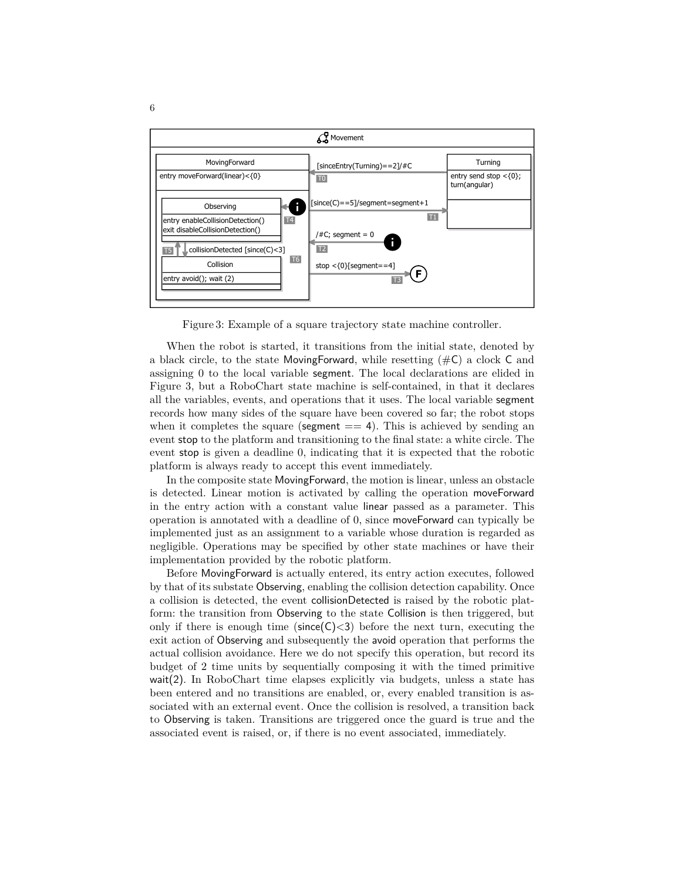

Figure 3: Example of a square trajectory state machine controller.

When the robot is started, it transitions from the initial state, denoted by a black circle, to the state MovingForward, while resetting (#C) a clock C and assigning 0 to the local variable segment. The local declarations are elided in Figure 3, but a RoboChart state machine is self-contained, in that it declares all the variables, events, and operations that it uses. The local variable segment records how many sides of the square have been covered so far; the robot stops when it completes the square (segment  $== 4$ ). This is achieved by sending an event stop to the platform and transitioning to the final state: a white circle. The event stop is given a deadline 0, indicating that it is expected that the robotic platform is always ready to accept this event immediately.

In the composite state MovingForward, the motion is linear, unless an obstacle is detected. Linear motion is activated by calling the operation moveForward in the entry action with a constant value linear passed as a parameter. This operation is annotated with a deadline of 0, since moveForward can typically be implemented just as an assignment to a variable whose duration is regarded as negligible. Operations may be specified by other state machines or have their implementation provided by the robotic platform.

Before MovingForward is actually entered, its entry action executes, followed by that of its substate Observing, enabling the collision detection capability. Once a collision is detected, the event collisionDetected is raised by the robotic platform: the transition from Observing to the state Collision is then triggered, but only if there is enough time ( $since(C) \leq 3$ ) before the next turn, executing the exit action of Observing and subsequently the avoid operation that performs the actual collision avoidance. Here we do not specify this operation, but record its budget of 2 time units by sequentially composing it with the timed primitive wait(2). In RoboChart time elapses explicitly via budgets, unless a state has been entered and no transitions are enabled, or, every enabled transition is associated with an external event. Once the collision is resolved, a transition back to Observing is taken. Transitions are triggered once the guard is true and the associated event is raised, or, if there is no event associated, immediately.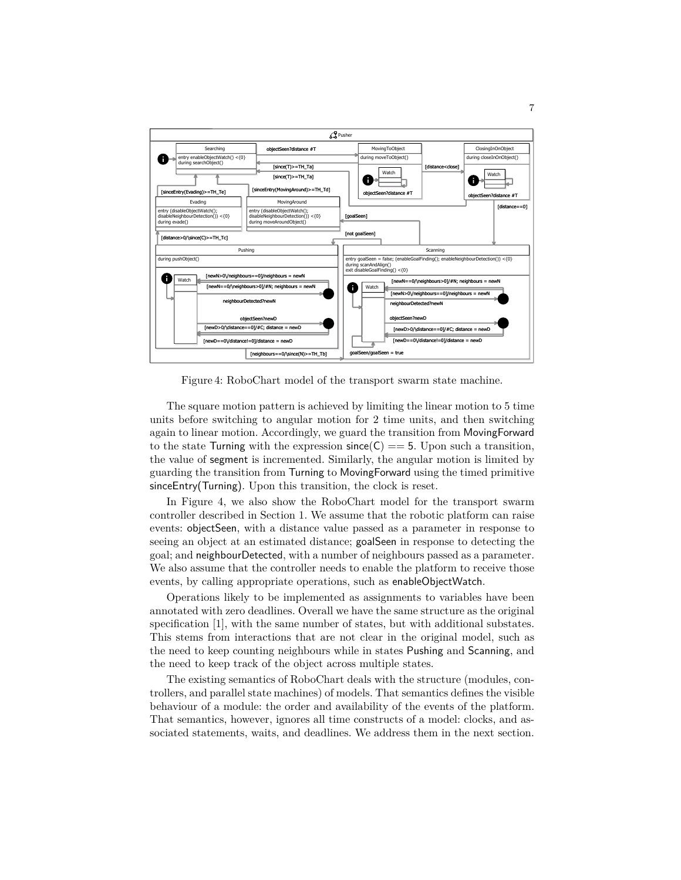

Figure 4: RoboChart model of the transport swarm state machine.

The square motion pattern is achieved by limiting the linear motion to 5 time units before switching to angular motion for 2 time units, and then switching again to linear motion. Accordingly, we guard the transition from MovingForward to the state Turning with the expression  $\text{since}(C) == 5$ . Upon such a transition, the value of segment is incremented. Similarly, the angular motion is limited by guarding the transition from Turning to MovingForward using the timed primitive sinceEntry(Turning). Upon this transition, the clock is reset.

In Figure 4, we also show the RoboChart model for the transport swarm controller described in Section 1. We assume that the robotic platform can raise events: objectSeen, with a distance value passed as a parameter in response to seeing an object at an estimated distance; goalSeen in response to detecting the goal; and neighbourDetected, with a number of neighbours passed as a parameter. We also assume that the controller needs to enable the platform to receive those events, by calling appropriate operations, such as enableObjectWatch.

Operations likely to be implemented as assignments to variables have been annotated with zero deadlines. Overall we have the same structure as the original specification [1], with the same number of states, but with additional substates. This stems from interactions that are not clear in the original model, such as the need to keep counting neighbours while in states Pushing and Scanning, and the need to keep track of the object across multiple states.

The existing semantics of RoboChart deals with the structure (modules, controllers, and parallel state machines) of models. That semantics defines the visible behaviour of a module: the order and availability of the events of the platform. That semantics, however, ignores all time constructs of a model: clocks, and associated statements, waits, and deadlines. We address them in the next section.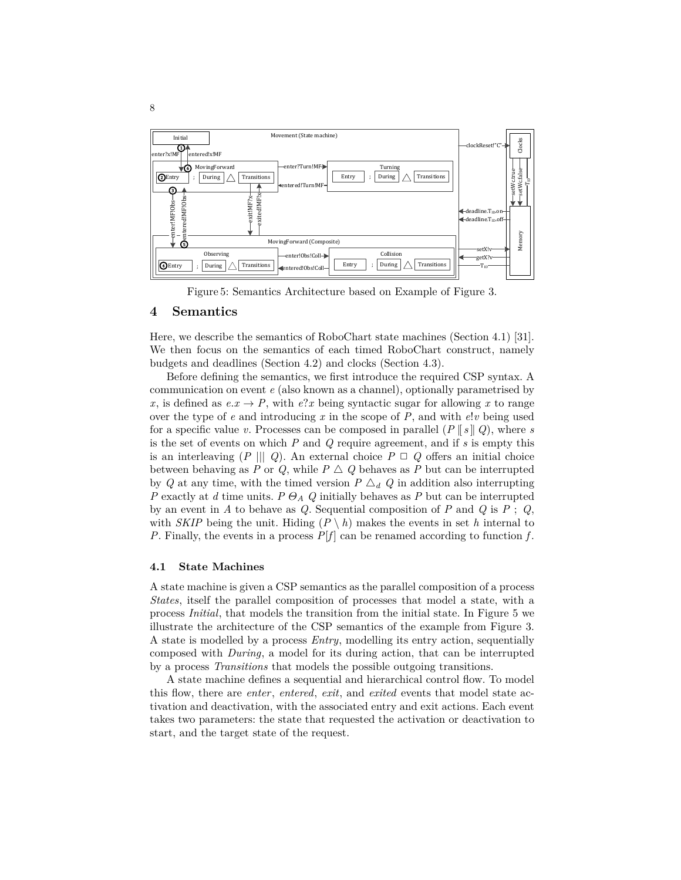

Figure 5: Semantics Architecture based on Example of Figure 3.

#### **4 Semantics**

Here, we describe the semantics of RoboChart state machines (Section 4.1) [31]. We then focus on the semantics of each timed RoboChart construct, namely budgets and deadlines (Section 4.2) and clocks (Section 4.3).

Before defining the semantics, we first introduce the required CSP syntax. A communication on event *e* (also known as a channel), optionally parametrised by *x*, is defined as  $e \, x \to P$ , with  $e \, ?x$  being syntactic sugar for allowing *x* to range over the type of *e* and introducing *x* in the scope of *P*, and with *e*!*v* being used for a specific value *v*. Processes can be composed in parallel  $(P \mid s \mid Q)$ , where *s* is the set of events on which *P* and *Q* require agreement, and if *s* is empty this is an interleaving  $(P \parallel \parallel Q)$ . An external choice  $P \square Q$  offers an initial choice between behaving as *P* or *Q*, while  $P \triangle Q$  behaves as *P* but can be interrupted by *Q* at any time, with the timed version  $P \Delta_d Q$  in addition also interrupting *P* exactly at *d* time units.  $P \Theta_A Q$  initially behaves as *P* but can be interrupted by an event in *A* to behave as *Q*. Sequential composition of *P* and *Q* is *P* ; *Q*, with *SKIP* being the unit. Hiding  $(P \setminus h)$  makes the events in set *h* internal to *P*. Finally, the events in a process *P*[*f*] can be renamed according to function *f*.

#### **4.1 State Machines**

A state machine is given a CSP semantics as the parallel composition of a process *States*, itself the parallel composition of processes that model a state, with a process *Initial*, that models the transition from the initial state. In Figure 5 we illustrate the architecture of the CSP semantics of the example from Figure 3. A state is modelled by a process *Entry*, modelling its entry action, sequentially composed with *During*, a model for its during action, that can be interrupted by a process *Transitions* that models the possible outgoing transitions.

A state machine defines a sequential and hierarchical control flow. To model this flow, there are *enter*, *entered*, *exit*, and *exited* events that model state activation and deactivation, with the associated entry and exit actions. Each event takes two parameters: the state that requested the activation or deactivation to start, and the target state of the request.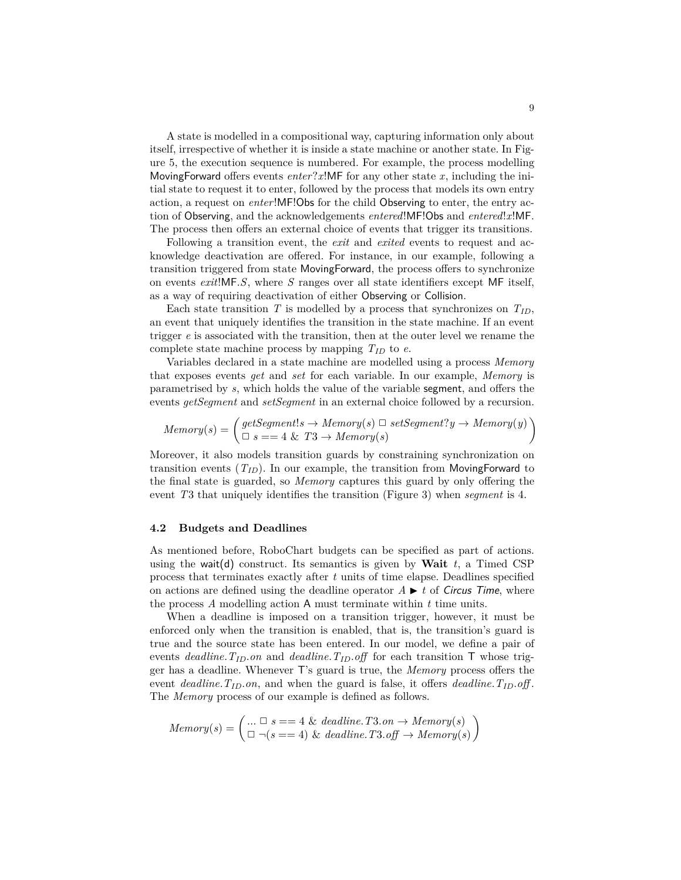A state is modelled in a compositional way, capturing information only about itself, irrespective of whether it is inside a state machine or another state. In Figure 5, the execution sequence is numbered. For example, the process modelling MovingForward offers events *enter*?*x*!MF for any other state *x*, including the initial state to request it to enter, followed by the process that models its own entry action, a request on *enter*!MF!Obs for the child Observing to enter, the entry action of Observing, and the acknowledgements *entered*!MF!Obs and *entered*!*x*!MF. The process then offers an external choice of events that trigger its transitions.

Following a transition event, the *exit* and *exited* events to request and acknowledge deactivation are offered. For instance, in our example, following a transition triggered from state MovingForward, the process offers to synchronize on events *exit*!MF.*S*, where *S* ranges over all state identifiers except MF itself, as a way of requiring deactivation of either Observing or Collision.

Each state transition *T* is modelled by a process that synchronizes on  $T_{ID}$ , an event that uniquely identifies the transition in the state machine. If an event trigger *e* is associated with the transition, then at the outer level we rename the complete state machine process by mapping  $T_{ID}$  to  $e$ .

Variables declared in a state machine are modelled using a process *Memory* that exposes events *get* and *set* for each variable. In our example, *Memory* is parametrised by *s*, which holds the value of the variable segment, and offers the events *getSegment* and *setSegment* in an external choice followed by a recursion.

$$
Memory(s) = \left(\begin{matrix} getSegment!s \rightarrow Memory(s) \sqcup setSegment?y \rightarrow Memory(y) \\ \sqcup s == 4 & T3 \rightarrow Memory(s) \end{matrix}\right)
$$

Moreover, it also models transition guards by constraining synchronization on transition events  $(T_{ID})$ . In our example, the transition from MovingForward to the final state is guarded, so *Memory* captures this guard by only offering the event *T*3 that uniquely identifies the transition (Figure 3) when *segment* is 4.

#### **4.2 Budgets and Deadlines**

As mentioned before, RoboChart budgets can be specified as part of actions. using the wait(d) construct. Its semantics is given by **Wait**  $t$ , a Timed CSP process that terminates exactly after *t* units of time elapse. Deadlines specified on actions are defined using the deadline operator  $A \triangleright t$  of Circus Time, where the process *A* modelling action A must terminate within *t* time units.

When a deadline is imposed on a transition trigger, however, it must be enforced only when the transition is enabled, that is, the transition's guard is true and the source state has been entered. In our model, we define a pair of events *deadline*.  $T_{ID}$  *on* and *deadline*.  $T_{ID}$  *off* for each transition  $\mathsf{T}$  whose trigger has a deadline. Whenever T's guard is true, the *Memory* process offers the event *deadline*.*TID*.*on*, and when the guard is false, it offers *deadline*.*TID*.*off* . The *Memory* process of our example is defined as follows.

$$
Memory(s) = \begin{pmatrix} \dots \Box \ s == 4 \ \& \ deadline. T3. on \rightarrow Memory(s) \\ \Box \neg (s == 4) \ \& \ deadline. T3. off \rightarrow Memory(s) \end{pmatrix}
$$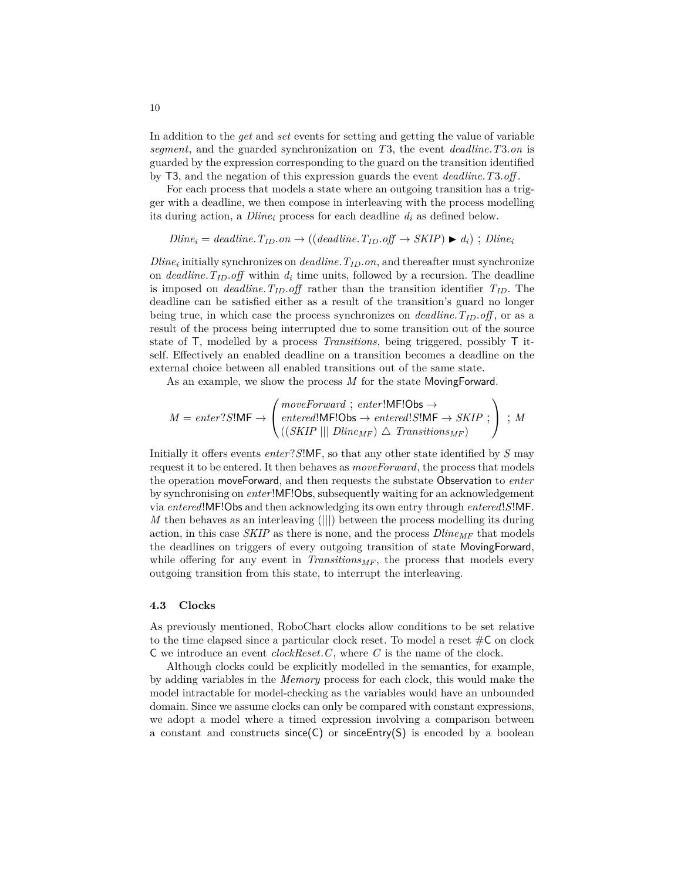In addition to the *get* and *set* events for setting and getting the value of variable *segment*, and the guarded synchronization on *T*3, the event *deadline*.*T*3.*on* is guarded by the expression corresponding to the guard on the transition identified by T3, and the negation of this expression guards the event *deadline*.*T*3.*off* .

For each process that models a state where an outgoing transition has a trigger with a deadline, we then compose in interleaving with the process modelling its during action, a *Dline<sup>i</sup>* process for each deadline *d<sup>i</sup>* as defined below.

$$
Dline_i = deadline. T_{ID}.on \rightarrow ((deadline. T_{ID}.off \rightarrow SKIP) \blacktriangleright d_i)
$$
;  $Dline_i$ 

*Dline<sup>i</sup>* initially synchronizes on *deadline*.*TID*.*on*, and thereafter must synchronize on *deadline*.  $T_{ID}$ . *off* within  $d_i$  time units, followed by a recursion. The deadline is imposed on *deadline*.*TID*.*off* rather than the transition identifier *TID*. The deadline can be satisfied either as a result of the transition's guard no longer being true, in which case the process synchronizes on *deadline*.*TID*.*off* , or as a result of the process being interrupted due to some transition out of the source state of T, modelled by a process *Transitions*, being triggered, possibly T itself. Effectively an enabled deadline on a transition becomes a deadline on the external choice between all enabled transitions out of the same state.

As an example, we show the process *M* for the state MovingForward.

$$
M = enter?S! \textsf{MF} \rightarrow \left( \begin{array}{l} moveForward \; ; \; enter! \textsf{MF!Obs} \rightarrow \\ entered! \textsf{MF!Obs} \rightarrow entered! S! \textsf{MF} \rightarrow SKIP \; ; \\ ((SKIP \; || \; Dline_{MFAF}) \; \triangle \; Transitions_{MF}) \end{array} \right) \; ; \; M
$$

Initially it offers events *enter*?*S*!MF, so that any other state identified by *S* may request it to be entered. It then behaves as *moveForward*, the process that models the operation moveForward, and then requests the substate Observation to *enter* by synchronising on *enter*!MF!Obs, subsequently waiting for an acknowledgement via *entered*!MF!Obs and then acknowledging its own entry through *entered*!*S*!MF. *M* then behaves as an interleaving (|||) between the process modelling its during action, in this case *SKIP* as there is none, and the process *DlineMF* that models the deadlines on triggers of every outgoing transition of state MovingForward, while offering for any event in  $Transitions_{MF}$ , the process that models every outgoing transition from this state, to interrupt the interleaving.

#### **4.3 Clocks**

As previously mentioned, RoboChart clocks allow conditions to be set relative to the time elapsed since a particular clock reset. To model a reset  $\#\mathsf{C}$  on clock C we introduce an event *clockReset*.*C*, where *C* is the name of the clock.

Although clocks could be explicitly modelled in the semantics, for example, by adding variables in the *Memory* process for each clock, this would make the model intractable for model-checking as the variables would have an unbounded domain. Since we assume clocks can only be compared with constant expressions, we adopt a model where a timed expression involving a comparison between a constant and constructs since $(C)$  or since Entry $(S)$  is encoded by a boolean

10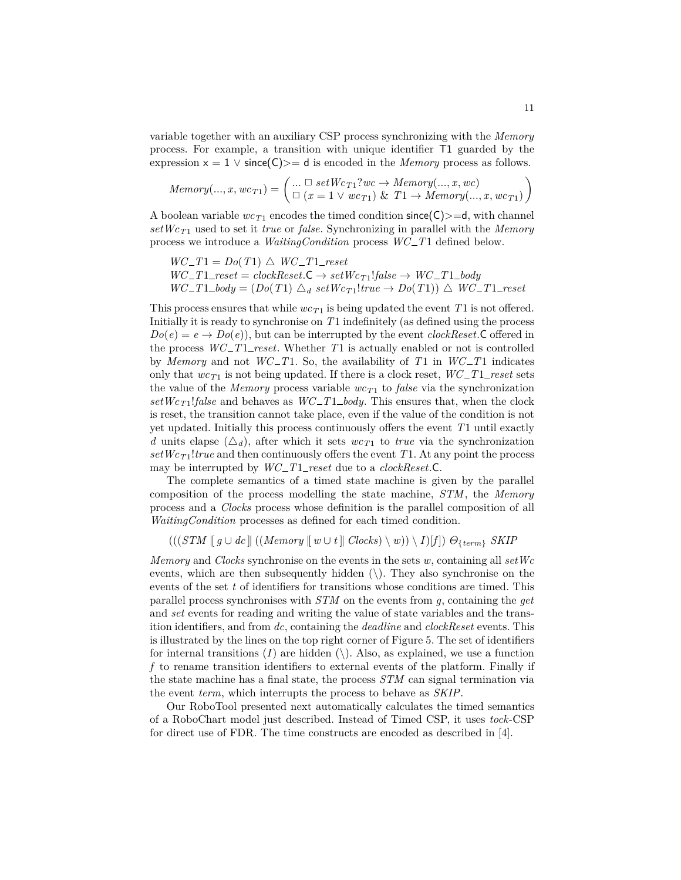variable together with an auxiliary CSP process synchronizing with the *Memory* process. For example, a transition with unique identifier T1 guarded by the expression  $x = 1 \vee \text{ since } (C) \geq d$  is encoded in the *Memory* process as follows.

$$
Memory(..., x, wc_{T1}) = \begin{pmatrix} ... \sqcup setWc_{T1} ?wc \rightarrow Memory(..., x, wc) \\ \sqcup (x = 1 \lor wc_{T1}) & T1 \rightarrow Memory(..., x, wc_{T1}) \end{pmatrix}
$$

A boolean variable  $wc_{T1}$  encodes the timed condition since(C) $>=$ d, with channel *setWcT*<sup>1</sup> used to set it *true* or *false*. Synchronizing in parallel with the *Memory* process we introduce a *WaitingCondition* process *WC T*1 defined below.

$$
WC\_T1 = Do(T1) \triangle WC\_T1\_reset
$$
  
\n
$$
WC\_T1\_reset = clockreset.C \rightarrow setWc_{T1}!false \rightarrow WC\_T1\_body
$$
  
\n
$$
WC\_T1\_body = (Do(T1) \triangle_d setWc_{T1}!true \rightarrow Do(T1)) \triangle WC\_T1\_reset
$$

This process ensures that while *wcT*<sup>1</sup> is being updated the event *T*1 is not offered. Initially it is ready to synchronise on *T*1 indefinitely (as defined using the process  $Do(e) = e \rightarrow Do(e)$ , but can be interrupted by the event *clockReset*.C offered in the process *WC T*1 *reset*. Whether *T*1 is actually enabled or not is controlled by *Memory* and not  $WC\_T1$ . So, the availability of T1 in  $WC\_T1$  indicates only that  $wc_{T1}$  is not being updated. If there is a clock reset,  $WC\_T1\_reset$  sets the value of the *Memory* process variable *wcT*<sup>1</sup> to *false* via the synchronization  $setWc_{T1}$ !*false* and behaves as  $WC_T1$  *body*. This ensures that, when the clock is reset, the transition cannot take place, even if the value of the condition is not yet updated. Initially this process continuously offers the event *T*1 until exactly *d* units elapse  $(\Delta_d)$ , after which it sets  $wc_{T1}$  to *true* via the synchronization *setWcT*<sup>1</sup>!*true* and then continuously offers the event *T*1. At any point the process may be interrupted by *WC T*1 *reset* due to a *clockReset*.C.

The complete semantics of a timed state machine is given by the parallel composition of the process modelling the state machine, *STM*, the *Memory* process and a *Clocks* process whose definition is the parallel composition of all *WaitingCondition* processes as defined for each timed condition.

 $(((STM \mid g \cup dc) \mid ((Memory \mid w \cup t \mid Clocks) \setminus w)) \setminus I)[f]) \Theta_{\{term\}} \, SKIP$ 

*Memory* and *Clocks* synchronise on the events in the sets *w*, containing all *setWc* events, which are then subsequently hidden  $(\cdot)$ . They also synchronise on the events of the set *t* of identifiers for transitions whose conditions are timed. This parallel process synchronises with *STM* on the events from *g*, containing the *get* and *set* events for reading and writing the value of state variables and the transition identifiers, and from *dc*, containing the *deadline* and *clockReset* events. This is illustrated by the lines on the top right corner of Figure 5. The set of identifiers for internal transitions  $(I)$  are hidden  $(\cdot)$ . Also, as explained, we use a function *f* to rename transition identifiers to external events of the platform. Finally if the state machine has a final state, the process *STM* can signal termination via the event *term*, which interrupts the process to behave as *SKIP*.

Our RoboTool presented next automatically calculates the timed semantics of a RoboChart model just described. Instead of Timed CSP, it uses *tock*-CSP for direct use of FDR. The time constructs are encoded as described in [4].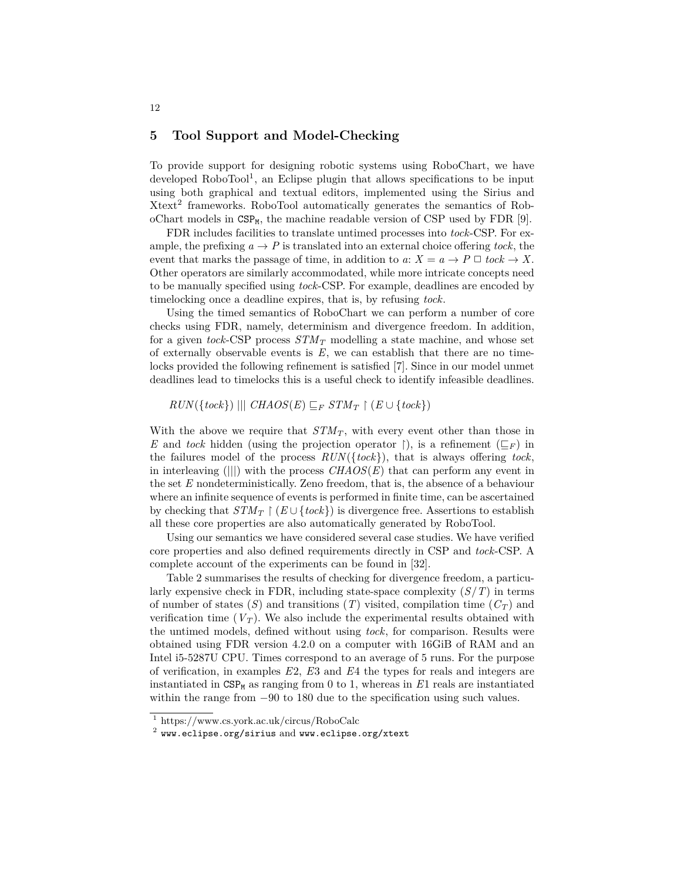### **5 Tool Support and Model-Checking**

To provide support for designing robotic systems using RoboChart, we have  $developed RoboTool<sup>1</sup>$ , an Eclipse plugin that allows specifications to be input using both graphical and textual editors, implemented using the Sirius and Xtext<sup>2</sup> frameworks. RoboTool automatically generates the semantics of RoboChart models in  $CSP_{M}$ , the machine readable version of  $CSP$  used by FDR [9].

FDR includes facilities to translate untimed processes into *tock*-CSP. For example, the prefixing  $a \to P$  is translated into an external choice offering *tock*, the event that marks the passage of time, in addition to *a*:  $X = a \rightarrow P \square$  tock  $\rightarrow X$ . Other operators are similarly accommodated, while more intricate concepts need to be manually specified using *tock*-CSP. For example, deadlines are encoded by timelocking once a deadline expires, that is, by refusing *tock*.

Using the timed semantics of RoboChart we can perform a number of core checks using FDR, namely, determinism and divergence freedom. In addition, for a given *tock*-CSP process *STM<sup>T</sup>* modelling a state machine, and whose set of externally observable events is *E*, we can establish that there are no timelocks provided the following refinement is satisfied [7]. Since in our model unmet deadlines lead to timelocks this is a useful check to identify infeasible deadlines.

 $RUN({\lbrace tok \rbrace})$ |||  $CHAOS(E) \sqsubseteq_F STM_T \upharpoonright (E \cup {\lbrace tok \rbrace})$ 

With the above we require that  $STM_T$ , with every event other than those in *E* and *tock* hidden (using the projection operator  $\upharpoonright$ ), is a refinement ( $\sqsubseteq_F$ ) in the failures model of the process *RUN*({*tock*}), that is always offering *tock*, in interleaving (|||) with the process *CHAOS*(*E*) that can perform any event in the set *E* nondeterministically. Zeno freedom, that is, the absence of a behaviour where an infinite sequence of events is performed in finite time, can be ascertained by checking that  $STM_T \upharpoonright (E \cup \{lock\})$  is divergence free. Assertions to establish all these core properties are also automatically generated by RoboTool.

Using our semantics we have considered several case studies. We have verified core properties and also defined requirements directly in CSP and *tock*-CSP. A complete account of the experiments can be found in [32].

Table 2 summarises the results of checking for divergence freedom, a particularly expensive check in FDR, including state-space complexity  $(S/T)$  in terms of number of states  $(S)$  and transitions  $(T)$  visited, compilation time  $(C_T)$  and verification time  $(V_T)$ . We also include the experimental results obtained with the untimed models, defined without using *tock*, for comparison. Results were obtained using FDR version 4.2.0 on a computer with 16GiB of RAM and an Intel i5-5287U CPU. Times correspond to an average of 5 runs. For the purpose of verification, in examples *E*2, *E*3 and *E*4 the types for reals and integers are instantiated in  $CSP_M$  as ranging from 0 to 1, whereas in  $E1$  reals are instantiated within the range from −90 to 180 due to the specification using such values.

<sup>1</sup> https://www.cs.york.ac.uk/circus/RoboCalc

 $^{2}$  www.eclipse.org/sirius and www.eclipse.org/xtext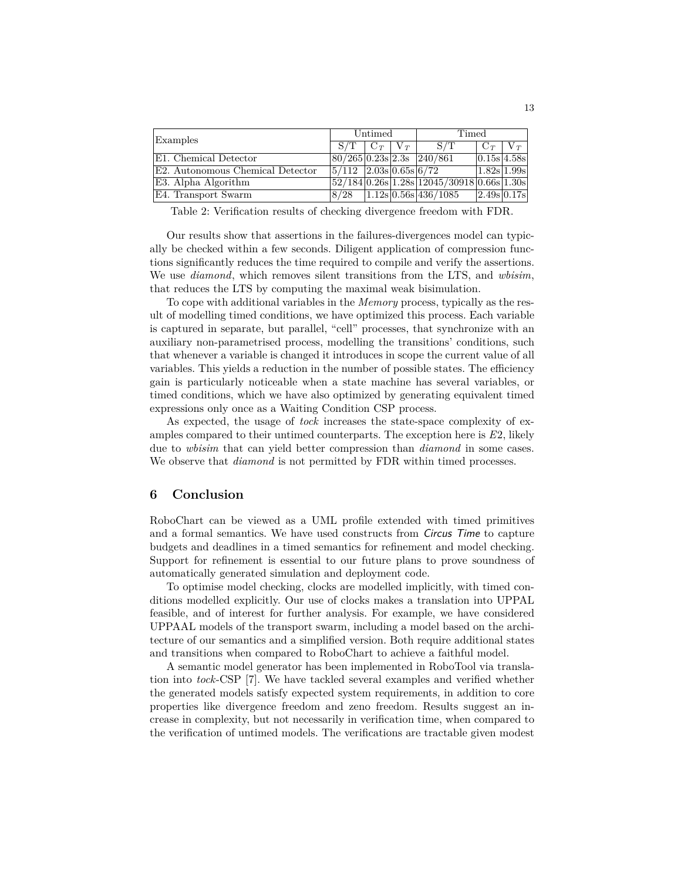| Examples                         | Untimed                         |             |  | Timed                                        |             |       |
|----------------------------------|---------------------------------|-------------|--|----------------------------------------------|-------------|-------|
|                                  | S/T                             | $ C_T V_T $ |  | S/T                                          | $C_T$       | $V_T$ |
| E1. Chemical Detector            |                                 |             |  | 80/265 0.23s 2.3s 240/861                    | 0.15s 4.58s |       |
| E2. Autonomous Chemical Detector | $\frac{5}{12}$ 2.03s 0.65s 6/72 |             |  |                                              | 1.82s 1.99s |       |
| E3. Alpha Algorithm              |                                 |             |  | $52/184$ 0.26s 1.28s 12045/30918 0.66s 1.30s |             |       |
| E4. Transport Swarm              |                                 |             |  | $8/28$ 1.12s 0.56s 436/1085                  | 2.49s 0.17s |       |

Table 2: Verification results of checking divergence freedom with FDR.

Our results show that assertions in the failures-divergences model can typically be checked within a few seconds. Diligent application of compression functions significantly reduces the time required to compile and verify the assertions. We use *diamond*, which removes silent transitions from the LTS, and *wbisim*, that reduces the LTS by computing the maximal weak bisimulation.

To cope with additional variables in the *Memory* process, typically as the result of modelling timed conditions, we have optimized this process. Each variable is captured in separate, but parallel, "cell" processes, that synchronize with an auxiliary non-parametrised process, modelling the transitions' conditions, such that whenever a variable is changed it introduces in scope the current value of all variables. This yields a reduction in the number of possible states. The efficiency gain is particularly noticeable when a state machine has several variables, or timed conditions, which we have also optimized by generating equivalent timed expressions only once as a Waiting Condition CSP process.

As expected, the usage of *tock* increases the state-space complexity of examples compared to their untimed counterparts. The exception here is *E*2, likely due to *wbisim* that can yield better compression than *diamond* in some cases. We observe that *diamond* is not permitted by FDR within timed processes.

### **6 Conclusion**

RoboChart can be viewed as a UML profile extended with timed primitives and a formal semantics. We have used constructs from Circus Time to capture budgets and deadlines in a timed semantics for refinement and model checking. Support for refinement is essential to our future plans to prove soundness of automatically generated simulation and deployment code.

To optimise model checking, clocks are modelled implicitly, with timed conditions modelled explicitly. Our use of clocks makes a translation into UPPAL feasible, and of interest for further analysis. For example, we have considered UPPAAL models of the transport swarm, including a model based on the architecture of our semantics and a simplified version. Both require additional states and transitions when compared to RoboChart to achieve a faithful model.

A semantic model generator has been implemented in RoboTool via translation into *tock*-CSP [7]. We have tackled several examples and verified whether the generated models satisfy expected system requirements, in addition to core properties like divergence freedom and zeno freedom. Results suggest an increase in complexity, but not necessarily in verification time, when compared to the verification of untimed models. The verifications are tractable given modest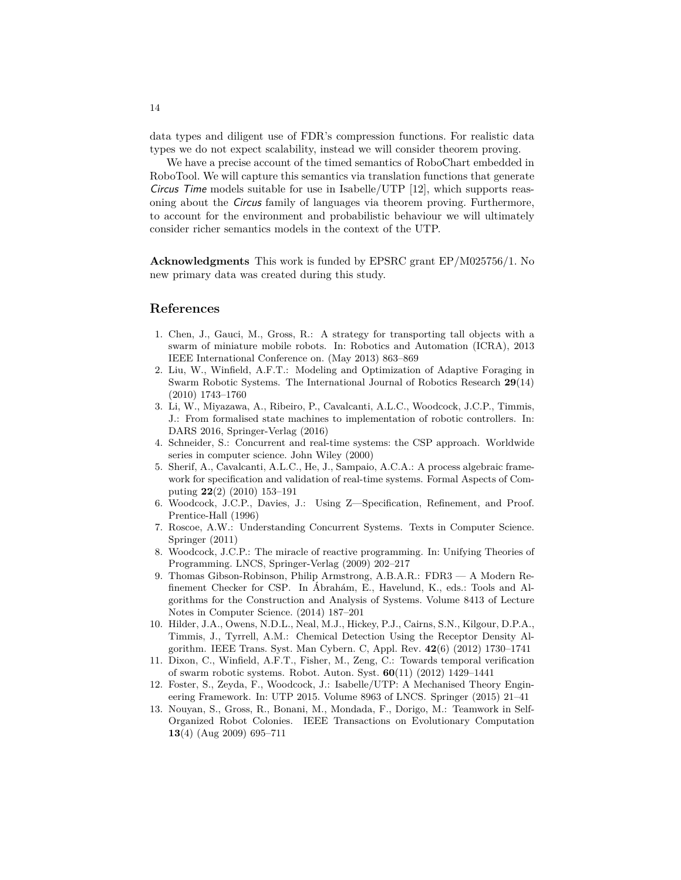data types and diligent use of FDR's compression functions. For realistic data types we do not expect scalability, instead we will consider theorem proving.

We have a precise account of the timed semantics of RoboChart embedded in RoboTool. We will capture this semantics via translation functions that generate Circus Time models suitable for use in Isabelle/UTP [12], which supports reasoning about the Circus family of languages via theorem proving. Furthermore, to account for the environment and probabilistic behaviour we will ultimately consider richer semantics models in the context of the UTP.

**Acknowledgments** This work is funded by EPSRC grant EP/M025756/1. No new primary data was created during this study.

## **References**

- 1. Chen, J., Gauci, M., Gross, R.: A strategy for transporting tall objects with a swarm of miniature mobile robots. In: Robotics and Automation (ICRA), 2013 IEEE International Conference on. (May 2013) 863–869
- 2. Liu, W., Winfield, A.F.T.: Modeling and Optimization of Adaptive Foraging in Swarm Robotic Systems. The International Journal of Robotics Research **29**(14) (2010) 1743–1760
- 3. Li, W., Miyazawa, A., Ribeiro, P., Cavalcanti, A.L.C., Woodcock, J.C.P., Timmis, J.: From formalised state machines to implementation of robotic controllers. In: DARS 2016, Springer-Verlag (2016)
- 4. Schneider, S.: Concurrent and real-time systems: the CSP approach. Worldwide series in computer science. John Wiley (2000)
- 5. Sherif, A., Cavalcanti, A.L.C., He, J., Sampaio, A.C.A.: A process algebraic framework for specification and validation of real-time systems. Formal Aspects of Computing **22**(2) (2010) 153–191
- 6. Woodcock, J.C.P., Davies, J.: Using Z—Specification, Refinement, and Proof. Prentice-Hall (1996)
- 7. Roscoe, A.W.: Understanding Concurrent Systems. Texts in Computer Science. Springer (2011)
- 8. Woodcock, J.C.P.: The miracle of reactive programming. In: Unifying Theories of Programming. LNCS, Springer-Verlag (2009) 202–217
- 9. Thomas Gibson-Robinson, Philip Armstrong, A.B.A.R.: FDR3 A Modern Refinement Checker for CSP. In Ábrahám, E., Havelund, K., eds.: Tools and Algorithms for the Construction and Analysis of Systems. Volume 8413 of Lecture Notes in Computer Science. (2014) 187–201
- 10. Hilder, J.A., Owens, N.D.L., Neal, M.J., Hickey, P.J., Cairns, S.N., Kilgour, D.P.A., Timmis, J., Tyrrell, A.M.: Chemical Detection Using the Receptor Density Algorithm. IEEE Trans. Syst. Man Cybern. C, Appl. Rev. **42**(6) (2012) 1730–1741
- 11. Dixon, C., Winfield, A.F.T., Fisher, M., Zeng, C.: Towards temporal verification of swarm robotic systems. Robot. Auton. Syst. **60**(11) (2012) 1429–1441
- 12. Foster, S., Zeyda, F., Woodcock, J.: Isabelle/UTP: A Mechanised Theory Engineering Framework. In: UTP 2015. Volume 8963 of LNCS. Springer (2015) 21–41
- 13. Nouyan, S., Gross, R., Bonani, M., Mondada, F., Dorigo, M.: Teamwork in Self-Organized Robot Colonies. IEEE Transactions on Evolutionary Computation **13**(4) (Aug 2009) 695–711

14